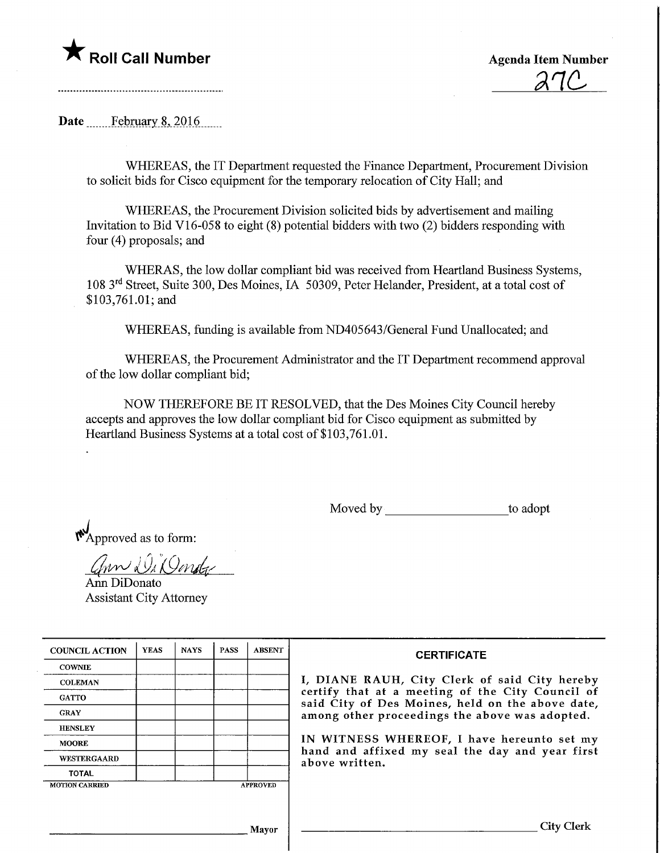

<u>anc</u>

Date February 8, 2016

WHEREAS, the IT Department requested the Finance Department, Procurement Division to solicit bids for Cisco equipment for the temporary relocation of City Hall; and

WHEREAS, the Procurement Division solicited bids by advertisement and mailing Invitation to Bid V16-058 to eight  $(8)$  potential bidders with two  $(2)$  bidders responding with four (4) proposals; and

WHERAS, the low dollar compliant bid was received from Heartland Business Systems, 108 3rd Street, Suite 300, Des Moines, IA 50309, Peter Helander, President, at a total cost of \$103,761.01; and

WHEREAS, funding is available from ND405643/General Fund Unallocated; and

WHEREAS, the Procurement Administrator and the IT Department recommend approval of the low dollar compliant bid;

NOW THEREFORE BE IT RESOLVED, that the Des Moines City Council hereby accepts and approves the low dollar compliant bid for Cisco equipment as submitted by Heartland Business Systems at a total cost of \$103,761.01.

Moved by to adopt

 $\mathbf{M}$ Approved as to form:

ann Di Donda Ann DiDonato Assistant City Attorney

| <b>COUNCIL ACTION</b> | <b>YEAS</b> | <b>NAYS</b> | <b>PASS</b> | <b>ABSENT</b>   | <b>CERTIFICATE</b><br>I, DIANE RAUH, City Clerk of said City hereby<br>certify that at a meeting of the City Council of<br>said City of Des Moines, held on the above date,<br>among other proceedings the above was adopted.<br>IN WITNESS WHEREOF, I have hereunto set my<br>hand and affixed my seal the day and year first<br>above written. |
|-----------------------|-------------|-------------|-------------|-----------------|--------------------------------------------------------------------------------------------------------------------------------------------------------------------------------------------------------------------------------------------------------------------------------------------------------------------------------------------------|
| <b>COWNIE</b>         |             |             |             |                 |                                                                                                                                                                                                                                                                                                                                                  |
| <b>COLEMAN</b>        |             |             |             |                 |                                                                                                                                                                                                                                                                                                                                                  |
| <b>GATTO</b>          |             |             |             |                 |                                                                                                                                                                                                                                                                                                                                                  |
| <b>GRAY</b>           |             |             |             |                 |                                                                                                                                                                                                                                                                                                                                                  |
| <b>HENSLEY</b>        |             |             |             |                 |                                                                                                                                                                                                                                                                                                                                                  |
| <b>MOORE</b>          |             |             |             |                 |                                                                                                                                                                                                                                                                                                                                                  |
| WESTERGAARD           |             |             |             |                 |                                                                                                                                                                                                                                                                                                                                                  |
| <b>TOTAL</b>          |             |             |             |                 |                                                                                                                                                                                                                                                                                                                                                  |
| <b>MOTION CARRIED</b> |             |             |             | <b>APPROVED</b> |                                                                                                                                                                                                                                                                                                                                                  |
|                       |             |             |             |                 |                                                                                                                                                                                                                                                                                                                                                  |
|                       |             |             |             |                 |                                                                                                                                                                                                                                                                                                                                                  |
| Mayor                 |             |             |             |                 | City Clerl                                                                                                                                                                                                                                                                                                                                       |